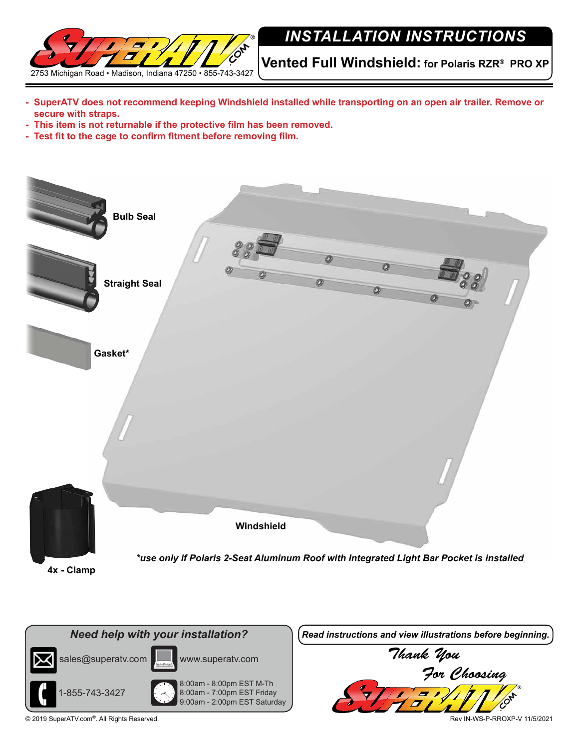

## *INSTALLATION INSTRUCTIONS*

**Vented Full Windshield: for Polaris RZR® PRO XP**

- **- SuperATV does not recommend keeping Windshield installed while transporting on an open air trailer. Remove or secure with straps.**
- **- This item is not returnable if the protective film has been removed.**
- **- Test fit to the cage to confirm fitment before removing film.**



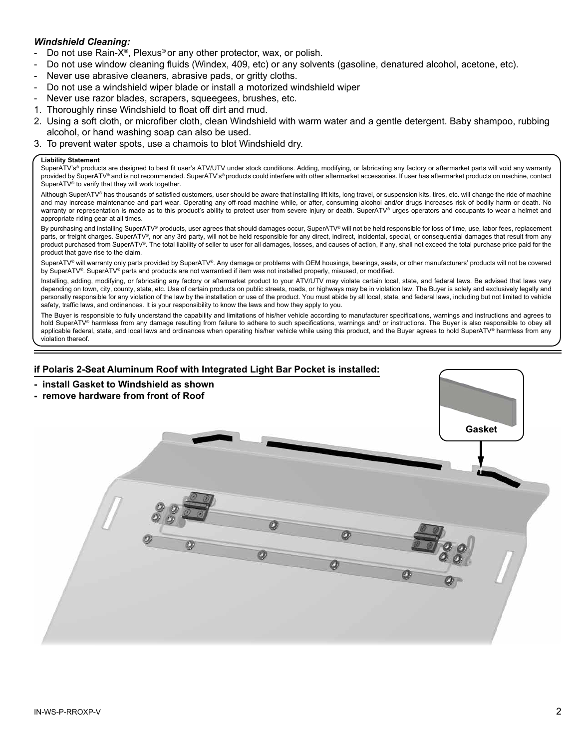## *Windshield Cleaning:*

- Do not use Rain-X<sup>®</sup>, Plexus<sup>®</sup> or any other protector, wax, or polish.
- Do not use window cleaning fluids (Windex, 409, etc) or any solvents (gasoline, denatured alcohol, acetone, etc).
- Never use abrasive cleaners, abrasive pads, or gritty cloths.
- Do not use a windshield wiper blade or install a motorized windshield wiper
- Never use razor blades, scrapers, squeegees, brushes, etc.
- 1. Thoroughly rinse Windshield to float off dirt and mud.
- 2. Using a soft cloth, or microfiber cloth, clean Windshield with warm water and a gentle detergent. Baby shampoo, rubbing alcohol, or hand washing soap can also be used.
- 3. To prevent water spots, use a chamois to blot Windshield dry.

## **Liability Statement**

SuperATV's® products are designed to best fit user's ATV/UTV under stock conditions. Adding, modifying, or fabricating any factory or aftermarket parts will void any warranty provided by SuperATV® and is not recommended. SuperATV's® products could interfere with other aftermarket accessories. If user has aftermarket products on machine, contact SuperATV® to verify that they will work together.

Although SuperATV® has thousands of satisfied customers, user should be aware that installing lift kits, long travel, or suspension kits, tires, etc. will change the ride of machine and may increase maintenance and part wear. Operating any off-road machine while, or after, consuming alcohol and/or drugs increases risk of bodily harm or death. No warranty or representation is made as to this product's ability to protect user from severe injury or death. SuperATV® urges operators and occupants to wear a helmet and appropriate riding gear at all times.

By purchasing and installing SuperATV® products, user agrees that should damages occur, SuperATV® will not be held responsible for loss of time, use, labor fees, replacement parts, or freight charges. SuperATV®, nor any 3rd party, will not be held responsible for any direct, indirect, incidental, special, or consequential damages that result from any product purchased from SuperATV®. The total liability of seller to user for all damages, losses, and causes of action, if any, shall not exceed the total purchase price paid for the product that gave rise to the claim.

SuperATV® will warranty only parts provided by SuperATV®. Any damage or problems with OEM housings, bearings, seals, or other manufacturers' products will not be covered by SuperATV®. SuperATV® parts and products are not warrantied if item was not installed properly, misused, or modified.

Installing, adding, modifying, or fabricating any factory or aftermarket product to your ATV/UTV may violate certain local, state, and federal laws. Be advised that laws vary depending on town, city, county, state, etc. Use of certain products on public streets, roads, or highways may be in violation law. The Buyer is solely and exclusively legally and personally responsible for any violation of the law by the installation or use of the product. You must abide by all local, state, and federal laws, including but not limited to vehicle safety, traffic laws, and ordinances. It is your responsibility to know the laws and how they apply to you.

The Buyer is responsible to fully understand the capability and limitations of his/her vehicle according to manufacturer specifications, warnings and instructions and agrees to hold SuperATV® harmless from any damage resulting from failure to adhere to such specifications, warnings and/ or instructions. The Buyer is also responsible to obey all applicable federal, state, and local laws and ordinances when operating his/her vehicle while using this product, and the Buyer agrees to hold SuperATV® harmless from any violation thereof.

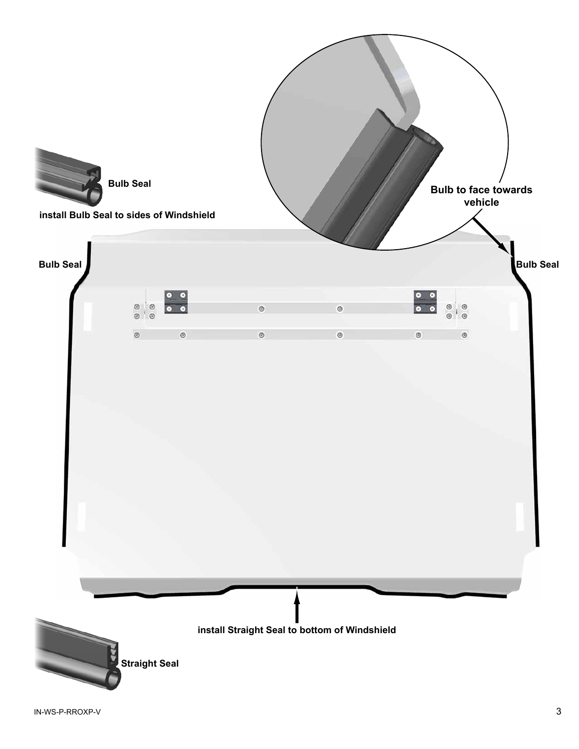